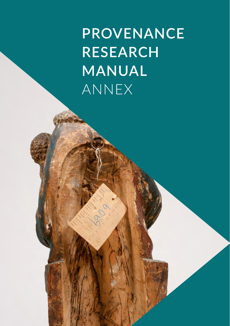**PROVENANCE RESEARCH MANUAL** ANNEX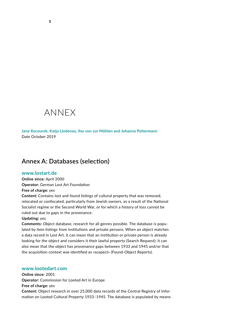# ANNEX

**Jana Kocourek, Katja Lindenau, Ilse von zur Mühlen and Johanna Poltermann**  Date October 2019

## **Annex A: Databases (selection)**

### **<www.lostart.de>**

**Online since:** April 2000 **Operator:** German Lost Art Foundation

**Free of charge:** yes

**Content:** Contains lost and found listings of cultural property that was removed, relocated or confiscated, particularly from Jewish owners, as a result of the National Socialist regime or the Second World War, or for which a history of loss cannot be ruled out due to gaps in the provenance.

#### **Updating:** yes

**Comments:** Object database, research for all genres possible. The database is populated by item listings from institutions and private persons. When an object matches a data record in Lost Art, it can mean that an institution or private person is already looking for the object and considers it their lawful property (Search Request); it can also mean that the object has provenance gaps between 1933 and 1945 and/or that the acquisition context was identified as »suspect« (Found-Object Reports).

### **<www.lootedart.com>**

**Online since:** 2001 **Operator:** Commission for Looted Art in Europe **Free of charge:** yes **Content:** Object research in over 25,000 data records of the Central Registry of Information on Looted Cultural Property 1933–1945. The database is populated by means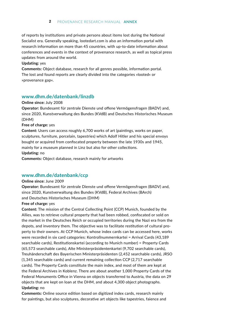### 2 PROVENANCE RESEARCH MANUAL **ANNEX**

of reports by institutions and private persons about items lost during the National Socialist era. Generally speaking, lootedart.com is also an information portal with research information on more than 45 countries, with up-to-date information about conferences and events in the context of provenance research, as well as topical press updates from around the world.

#### **Updating:** yes

**Comments:** Object database, research for all genres possible, information portal. The lost and found reports are clearly divided into the categories »looted« or »provenance gap«.

### **<www.dhm.de/datenbank/linzdb>**

### **Online since:** July 2008

**Operator:** Bundesamt für zentrale Dienste und offene Vermögensfragen (BADV) and, since 2020, Kunstverwaltung des Bundes (KVdB) and Deutsches Historisches Museum (DHM)

#### **Free of charge:** yes

**Content:** Users can access roughly 6,700 works of art (paintings, works on paper, sculptures, furniture, porcelain, tapestries) which Adolf Hitler and his special envoys bought or acquired from confiscated property between the late 1930s and 1945, mainly for a museum planned in Linz but also for other collections. **Updating:** no

**Comments:** Object database, research mainly for artworks

### **<www.dhm.de/datenbank/ccp>**

#### **Online since:** June 2009

**Operator:** Bundesamt für zentrale Dienste und offene Vermögensfragen (BADV) and, since 2020, Kunstverwaltung des Bundes (KVdB), Federal Archives (BArch) and Deutsches Historisches Museum (DHM)

### **Free of charge:** yes

**Content:** The mission of the Central Collecting Point (CCP) Munich, founded by the Allies, was to retrieve cultural property that had been robbed, confiscated or sold on the market in the Deutsches Reich or occupied territories during the Nazi era from the depots, and inventory them. The objective was to facilitate restitution of cultural property to their owners. At CCP Munich, whose index cards can be accessed here, works were recorded in six card categories: Kontrollnummernkartei = Arrival Cards (43,189 searchable cards), Restitutionskartei (according to Munich number) = Property Cards (65,573 searchable cards), Alte Ministerpräsidentenkartei (9,702 searchable cards), Treuhänderschaft des Bayerischen Ministerpräsidenten (2,452 searchable cards), JRSO (1,345 searchable cards) and current remaining collection CCP (2,717 searchable cards). The Property Cards constitute the main index, and most of them are kept at the Federal Archives in Koblenz. There are about another 1,000 Property Cards of the Federal Monuments Office in Vienna on objects transferred to Austria, the data on 29 objects that are kept on loan at the DHM, and about 4,300 object photographs. **Updating:** no

**Comments:** Online source edition based on digitized index cards, research mainly for paintings, but also sculptures, decorative art objects like tapestries, faience and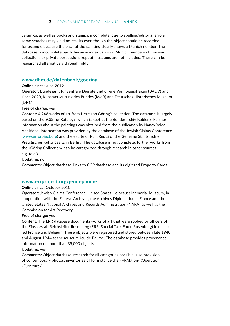ceramics, as well as books and stamps; incomplete, due to spelling/editorial errors some searches may yield no results even though the object should be recorded, for example because the back of the painting clearly shows a Munich number. The database is incomplete partly because index cards on Munich numbers of museum collections or private possessions kept at museums are not included. These can be researched alternatively through fold3.

### **<www.dhm.de/datenbank/goering>**

#### **Online since:** June 2012

**Operator:** Bundesamt für zentrale Dienste und offene Vermögensfragen (BADV) and, since 2020, Kunstverwaltung des Bundes (KvdB) and Deutsches Historisches Museum (DHM)

### **Free of charge:** yes

**Content:** 4,248 works of art from Hermann Göring's collection. The database is largely based on the »Göring-Katalog«, which is kept at the Bundesarchiv Koblenz. Further information about the paintings was obtained from the publication by Nancy Yeide. Additional information was provided by the database of the Jewish Claims Conference (<www.errproject.org>) and the estate of Kurt Reutti of the Geheime Staatsarchiv Preußischer Kulturbesitz in Berlin. $<sup>1</sup>$  The database is not complete, further works from</sup> the »Göring Collection« can be categorized through research in other sources, e.g. fold3.

**Updating:** no

**Comments:** Object database, links to CCP database and its digitized Property Cards

### **<www.errproject.org/jeudepaume>**

### **Online since:** October 2010

**Operator:** Jewish Claims Conference, United States Holocaust Memorial Museum, in cooperation with the Federal Archives, the Archives Diplomatiques France and the United States National Archives and Records Administration (NARA) as well as the Commission for Art Recovery

#### **Free of charge:** yes

**Content:** The ERR database documents works of art that were robbed by officers of the Einsatzstab Reichsleiter Rosenberg (ERR, Special Task Force Rosenberg) in occupied France and Belgium. These objects were registered and stored between late 1940 and August 1944 at the museum Jeu de Paume. The database provides provenance information on more than 35,000 objects.

### **Updating:** yes

**Comments:** Object database, research for all categories possible, also provision of contemporary photos, inventories of for instance the »M-Aktion« (Operation »Furniture«)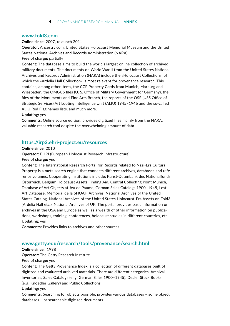### **<www.fold3.com>**

#### **Online since:** 2007, relaunch 2011

**Operator:** Ancestry.com, United States Holocaust Memorial Museum and the United States National Archives and Records Administration (NARA)

**Free of charge:** partially

**Content:** The database aims to build the world's largest online collection of archived military documents. The documents on World War II from the United States National Archives and Records Administration (NARA) include the »Holocaust Collection«, of which the »Ardelia Hall Collection« is most relevant for provenance research. This contains, among other items, the CCP Property Cards from Munich, Marburg and Wiesbaden, the OMGUS files (U. S. Office of Military Government for Germany), the files of the Monuments and Fine Arts Branch, the reports of the OSS (USS Office of Strategic Services) Art Looting Intelligence Unit (ALIU) 1945–1946 and the so-called ALIU Red Flag names lists, and much more.

#### **Updating:** yes

**Comments:** Online source edition, provides digitized files mainly from the NARA, valuable research tool despite the overwhelming amount of data

### **<https://irp2.ehri-project.eu/resources>**

**Online since:** 2010

**Operator:** EHRI (European Holocaust Research Infrastructure) **Free of charge:** yes

**Content:** The International Research Portal for Records related to Nazi-Era Cultural Property is a meta search engine that connects different archives, databases and reference volumes. Cooperating institutions include: Kunst-Datenbank des Nationalfonds Österreich, Belgium Holocaust Assets Finding Aid, Central Collecting Point Munich, Database of Art Objects at Jeu de Paume, German Sales Catalogs 1900–1945, Lost Art Database, Memorial de la SHOAH Archives, National Archives of the United States Catalog, National Archives of the United States Holocaust-Era Assets on Fold3 (Ardelia Hall etc.), National Archives of UK. The portal provides basic information on archives in the USA and Europe as well as a wealth of other information on publications, workshops, training, conferences, holocaust studies in different countries, etc. **Updating:** yes

**Comments:** Provides links to archives and other sources

### **<www.getty.edu/research/tools/provenance/search.html>**

**Online since:** 1998

**Operator:** The Getty Research Institute

**Free of charge:** yes

**Content:** The Getty Provenance Index is a collection of different databases built of digitized and evaluated archived materials. There are different categories: Archival Inventories, Sales Catalogs (e. g. German Sales 1900–1945), Dealer Stock Books (e. g. Knoedler Gallery) and Public Collections.

#### **Updating:** yes

**Comments:** Searching for objects possible, provides various databases – some object databases – or searchable digitized documents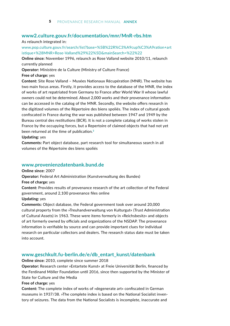### **<www2.culture.gouv.fr/documentation/mnr/MnR-rbs.htm>**

#### As relaunch integrated in:

[www.pop.culture.gouv.fr/search/list?base=%5B%22R%C3%A9cup%C3%A9ration+art](https://www.pop.culture.gouv.fr/search/list?base=%5B%22R%C3%A9cup%C3%A9ration%20artistique%20%28MNR%20Rose-Valland%29%22%5D) [istique+%28MNR+Rose-Valland%29%22%5D&mainSearch=%22%22](https://www.pop.culture.gouv.fr/search/list?base=%5B%22R%C3%A9cup%C3%A9ration%20artistique%20%28MNR%20Rose-Valland%29%22%5D)

**Online since:** November 1996, relaunch as Rose Valland website 2010/11, relaunch currently planned

**Operator:** Ministère de la Culture (Ministry of Culture France)

### **Free of charge:** yes

**Content:** Site Rose Valland – Musées Nationaux Récupération (MNR). The website has two main focus areas. Firstly, it provides access to the database of the MNR, the index of works of art repatriated from Germany to France after World War II whose lawful owners could not be determined. About 2,000 works and their provenance information can be accessed in the catalog of the MNR. Secondly, the website offers research in the digitized volumes of the Répertoire des biens spoliés. The index of cultural goods confiscated in France during the war was published between 1947 and 1949 by the Bureau central des restitutions (BCR). It is not a complete catalog of works stolen in France by the occupying forces, but a Repertoire of claimed objects that had not yet been returned at the time of publication.**<sup>2</sup>**

#### **Updating:** yes

**Comments:** Part object database, part research tool for simultaneous search in all volumes of the Répertoire des biens spoliés

### **<www.provenienzdatenbank.bund.de>**

**Online since:** 2007

**Operator:** Federal Art Administration (Kunstverwaltung des Bundes)

#### **Free of charge:** yes

**Content:** Provides results of provenance research of the art collection of the Federal government, around 2,100 provenance files online

#### **Updating:** yes

**Comments:** Object database, the Federal government took over around 20,000 cultural property from the »Treuhandverwaltung von Kulturgut« (Trust Administration of Cultural Assets) in 1963. These were items formerly in »Reichsbesitz« and objects of art formerly owned by officials and organizations of the NSDAP. The provenance information is verifiable by source and can provide important clues for individual research on particular collectors and dealers. The research status date must be taken into account.

### **[www.geschkult.fu-berlin.de/e/db\\_entart\\_kunst/datenbank](https://www.geschkult.fu-berlin.de/e/db_entart_kunst/datenbank)**

**Online since:** 2010, complete since summer 2018

**Operator:** Research center »Entartete Kunst« at Freie Universität Berlin, financed by the Ferdinand Möller Foundation until 2016, since then supported by the Minister of State for Culture and the Media

#### **Free of charge:** yes

**Content:** The complete index of works of »degenerate art« confiscated in German museums in 1937/38. »The complete index is based on the National Socialist inventory of seizures. The data from the National Socialists is incomplete, inaccurate and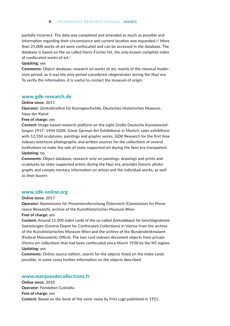### 6 PROVENANCE RESEARCH MANUAL **ANNEX**

partially incorrect. The data was completed and amended as much as possible and information regarding their circumstance and current location was expanded.»**3** More than 21,000 works of art were confiscated and can be accessed in the database. The database is based on the so-called Harry Fischer list, the only known complete index of confiscated works of art.**<sup>4</sup>**

### **Updating:** yes

**Comments:** Object database, research on works of art, mainly of the classical modernism period, as it was the only period considered »degenerate« during the Nazi era. To verify the information, it is useful to contact the museum of origin.

### **[www.gdk-research.de](http://www.gdk-research.de/db/apsisa.dll/ete)**

**Online since:** 2011

**Operator:** Zentralinstitut für Kunstgeschichte, Deutsches Historisches Museum, Haus der Kunst

**Free of charge:** yes

**Content:** Image-based research platform on the eight Große Deutsche Kunstausstellungen 1937–1944 (GDK, Great German Art Exhibitions) in Munich, sales exhibitions with 12,550 sculptures, paintings and graphic works. GDK Research for the first time indexes extensive photographic and written sources for the collections of several institutions to make the sale of state-supported art during the Nazi era transparent. **Updating:** no

**Comments:** Object database, research only on paintings, drawings and prints and sculptures by state-supported artists during the Nazi era, provides historic photographs and comple mentary information on artists and the individual works, as well as their buyers

### **[www.zdk-online.org](https://www.zdk-online.org/)**

**Online since:** 2017

**Operator:** Kommission für Provenienzforschung Österreich (Commission for Provenance Research), archive of the Kunsthistorisches Museum Wien

#### **Free of charge:** yes

**Content:** Around 11,500 index cards of the so-called Zentraldepot für beschlagnahmte Sammlungen (Central Depot for Confiscated Collections) in Vienna from the archive of the Kunsthistorisches Museum Wien and the archive of the Bundesdenkmalamt (Federal Monuments Office). The two card indexes document objects from private Vienna art collections that had been confiscated since March 1938 by the NS regime. **Updating:** yes

**Comments:** Online source edition, search for the objects listed on the index cards possible, in some cases further information on the objects described

### **<www.marquesdecollections.fr>**

**Online since:** 2010 **Operator:** Fondation Custodia **Free of charge:** yes **Content:** Based on the book of the same name by Frits Lugt published in 1921,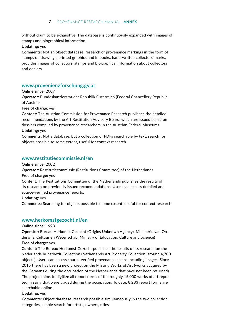without claim to be exhaustive. The database is continuously expanded with images of stamps and biographical information.

### **Updating:** yes

**Comments:** Not an object database, research of provenance markings in the form of stamps on drawings, printed graphics and in books, hand-written collectors' marks, provides images of collectors' stamps and biographical information about collectors and dealers

### **<www.provenienzforschung.gv.at>**

### **Online since:** 2007

**Operator:** Bundeskanzleramt der Republik Österreich (Federal Chancellery Republic of Austria)

**Free of charge:** yes

**Content:** The Austrian Commission for Provenance Research publishes the detailed recommendations by the Art Restitution Advisory Board, which are issued based on dossiers compiled by provenance researchers in the Austrian Federal Museums.

### **Updating:** yes

**Comments:** Not a database, but a collection of PDFs searchable by text, search for objects possible to some extent, useful for context research

### **<www.restitutiecommissie.nl/en>**

**Online since:** 2002

**Operator:** Restitutiecommissie (Restitutions Committee) of the Netherlands

**Free of charge:** yes

**Content:** The Restitutions Committee of the Netherlands publishes the results of its research on previously issued recommendations. Users can access detailed and source-verified provenance reports.

### **Updating:** yes

**Comments:** Searching for objects possible to some extent, useful for context research

### **<www.herkomstgezocht.nl/en>**

### **Online since:** 1998

**Operator:** Bureau Herkomst Gezocht (Origins Unknown Agency), Ministerie van Onderwijs, Cultuur en Wetenschap (Ministry of Education, Culture and Science) **Free of charge:** yes

**Content:** The Bureau Herkomst Gezocht publishes the results of its research on the Nederlands Kunstbezit Collection (Netherlands Art Property Collection, around 4,700 objects). Users can access source-verified provenance chains including images. Since 2015 there has been a new project on the Missing Works of Art (works acquired by the Germans during the occupation of the Netherlands that have not been returned). The project aims to digitize all report forms of the roughly 15,000 works of art reported missing that were traded during the occupation. To date, 8,283 report forms are searchable online.

### **Updating:** yes

**Comments:** Object database, research possible simultaneously in the two collection categories, simple search for artists, owners, titles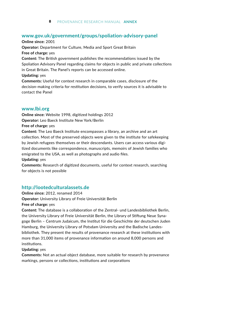### **<www.gov.uk/government/groups/spoliation-advisory-panel>**

**Online since:** 2001 **Operator:** Department for Culture, Media and Sport Great Britain **Free of charge:** yes **Content:** The British government publishes the recommendations issued by the Spoliation Advisory Panel regarding claims for objects in public and private collections in Great Britain. The Panel's reports can be accessed online. **Updating:** yes **Comments:** Useful for context research in comparable cases, disclosure of the decision-making criteria for restitution decisions, to verify sources it is advisable to contact the Panel

### **<www.lbi.org>**

**Online since:** Website 1998, digitized holdings 2012 **Operator:** Leo Baeck Institute New York/Berlin

#### **Free of charge:** yes

**Content:** The Leo Baeck Institute encompasses a library, an archive and an art collection. Most of the preserved objects were given to the institute for safekeeping by Jewish refugees themselves or their descendants. Users can access various digitized documents like correspondence, manuscripts, memoirs of Jewish families who emigrated to the USA, as well as photographs and audio files.

### **Updating:** yes

**Comments:** Research of digitized documents, useful for context research, searching for objects is not possible

### **<http://lootedculturalassets.de>**

**Online since:** 2012, renamed 2014 **Operator:** University Library of Freie Universität Berlin

### **Free of charge:** yes

**Content:** The database is a collaboration of the Zentral- und Landesbibliothek Berlin, the University Library of Freie Universität Berlin, the Library of Stiftung Neue Synagoge Berlin – Centrum Judaicum, the Institut für die Geschichte der deutschen Juden Hamburg, the University Library of Potsdam University and the Badische Landesbibliothek. They present the results of provenance research at these institutions with more than 31,000 items of provenance information on around 8,000 persons and institutions.

### **Updating:** yes

**Comments:** Not an actual object database, more suitable for research by provenance markings, persons or collections, institutions and corporations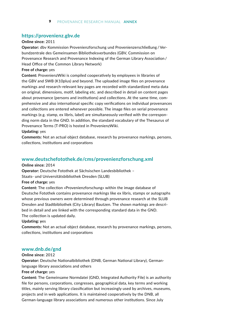### **<https://provenienz.gbv.de>**

### **Online since:** 2011

**Operator:** dbv Kommission Provenienzforschung und Provenienzerschließung / Verbundzentrale des Gemeinsamen Bibliotheksverbundes (GBV, Commission on Provenance Research and Provenance Indexing of the German Library Association /  Head Office of the Common Library Network)

#### **Free of charge:** yes

**Content:** ProvenienzWiki is compiled cooperatively by employees in libraries of the GBV and SWB (K10plus) and beyond. The uploaded image files on provenance markings and research-relevant key pages are recorded with standardized meta data on original, dimensions, motif, labeling etc. and described in detail on content pages about provenance (persons and institutions) and collections. At the same time, comprehensive and also international specific copy verifications on individual provenances and collections are entered whenever possible. The image files on serial provenance markings (e.g. stamp, ex libris, label) are simultaneously verified with the corresponding norm data in the GND. In addition, the standard vocabulary of the Thesaurus of Provenance Terms (T-PRO) is hosted in ProvenienzWiki.

#### **Updating:** yes

**Comments:** Not an actual object database, research by provenance markings, persons, collections, institutions and corporations

### **<www.deutschefotothek.de/cms/provenienzforschung.xml>**

### **Online since:** 2014

**Operator:** Deutsche Fotothek at Sächsischen Landesbibliothek – Staats- und Universitätsbibliothek Dresden (SLUB)

#### **Free of charge:** yes

**Content:** The collection »Provenienzforschung« within the image database of Deutsche Fotothek contains provenance markings like ex libris, stamps or autographs whose previous owners were determined through provenance research at the SLUB Dresden and Stadtbibliothek (City Library) Bautzen. The shown markings are described in detail and are linked with the corresponding standard data in the GND. The collection is updated daily.

#### **Updating: y**es

**Comments:** Not an actual object database, research by provenance markings, persons, collections, institutions and corporations

### **<www.dnb.de/gnd>**

#### **Online since:** 2012

**Operator:** Deutsche Nationalbibliothek (DNB, German National Library), Germanlanguage library associations and others

#### **Free of charge:** yes

**Content:** The Gemeinsame Normdatei (GND, Integrated Authority File) is an authority file for persons, corporations, congresses, geographical data, key terms and working titles, mainly serving library classification but increasingly used by archives, museums, projects and in web applications. It is maintained cooperatively by the DNB, all German-language library associations and numerous other institutions. Since July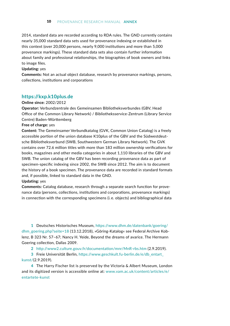2014, standard data are recorded according to RDA rules. The GND currently contains nearly 35,000 standard data sets used for provenance indexing or established in this context (over 20,000 persons, nearly 9,000 institutions and more than 5,000 provenance markings). These standard data sets also contain further information about family and professional relationships, the biographies of book owners and links to image files.

#### **Updating:** yes

**Comments:** Not an actual object database, research by provenance markings, persons, collections, institutions and corporations

### **<https://kxp.k10plus.de>**

#### **Online since:** 2002/2012

**Operator:** Verbundzentrale des Gemeinsamen Bibliotheksverbundes (GBV, Head Office of the Common Library Network) / Bibliotheksservice-Zentrum (Library Service Centre) Baden-Württemberg

### **Free of charge:** yes

**Content:** The Gemeinsamer Verbundkatalog (GVK, Common Union Catalog) is a freely accessible portion of the union database K10plus of the GBV and the Südwestdeutsche Bibliotheksverbund (SWB, Southwestern German Library Network). The GVK contains over 72.6 million titles with more than 183 million ownership verifications for books, magazines and other media categories in about 1,110 libraries of the GBV and SWB. The union catalog of the GBV has been recording provenance data as part of specimen-specific indexing since 2002, the SWB since 2012. The aim is to document the history of a book specimen. The provenance data are recorded in standard formats and, if possible, linked to standard data in the GND.

#### **Updating:** yes

**Comments:** Catalog database, research through a separate search function for provenance data (persons, collections, institutions and corporations, provenance markings) in connection with the corresponding specimens (i. e. objects) and bibliographical data

**1** Deutsches Historisches Museum, [https://www.dhm.de/datenbank/goering/](https://www.dhm.de/index.php?id=22191) [dhm\\_goering.php?seite=18](https://www.dhm.de/index.php?id=22191) (13.12.2018), »Göring-Katalog« see Federal Archive Koblenz, B 323 Nr. 57–67; Nancy H. Yeide, Beyond the dreams of avarice. The Hermann Goering collection, Dallas 2009.

**2** <http://www2.culture.gouv.fr/documentation/mnr/MnR-rbs.htm>(2.9.2019).

**3** Freie Universität Berlin, [https://www.geschkult.fu-berlin.de/e/db\\_entart\\_](https://www.geschkult.fu-berlin.de/e/db_entart_kunst/) [kunst/\(](https://www.geschkult.fu-berlin.de/e/db_entart_kunst/)2.9.2019).

**4** The Harry Fischer list is preserved by the Victoria & Albert Museum, London and its digitized version is accessible online at: [www.vam.ac.uk/content/articles/e/](https://www.vam.ac.uk/articles/explore-entartete-kunst-the-nazis-inventory-of-degenerate-art) [entartete-kunst](https://www.vam.ac.uk/articles/explore-entartete-kunst-the-nazis-inventory-of-degenerate-art)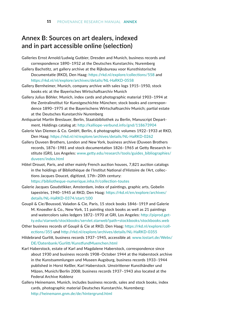# **Annex B: Sources on art dealers, indexed and in part accessible online (selection)**

- Galleries Ernst Arnold/Ludwig Gutbier, Dresden and Munich, business records and correspondence 1890–1952 at the Deutsches Kunstarchiv, Nuremberg
- Gallery Bachstitz, art gallery archive at the Rijksbureau voor Kunsthistorische Documentatie (RKD), Den Haag: <https://rkd.nl/explore/collections/558> and <https://rkd.nl/nl/explore/archives/details/NL-HaRKD-0558>
- Gallery Bernheimer, Munich, company archive with sales logs 1915–1950, stock books etc at the Bayerisches Wirtschaftsarchiv Munich
- Gallery Julius Böhler, Munich, index cards and photographic material 1903–1994 at the Zentralinstitut für Kunstgeschichte München; stock books and correspondence 1890–1975 at the Bayerischens Wirtschaftsarchiv Munich; partial estate at the Deutsches Kunstarchiv Nuremberg
- Antiquariat Martin Breslauer, Berlin, Staatsbibliothek zu Berlin, Manuscript Department, Holdings catalog at: <http://kalliope-verbund.info/gnd/118673904>
- Galerie Van Diemen & Co. GmbH, Berlin, 6 photographic volumes 1922–1933 at RKD, Den Haag: <https://rkd.nl/nl/explore/archives/details/NL-HaRKD-0262>
- Gallery Duveen Brothers, London and New York, business archive (Duveen Brothers records, 1876–1981 and stock documentation 1826–1965 at Getty Research Institute (GRI), Los Angeles: [www.getty.edu/research/tools/guides\\_bibliographies/](www.getty.edu/research/tools/guides_bibliographies/duveen/index.html) [duveen/index.html](www.getty.edu/research/tools/guides_bibliographies/duveen/index.html)
- Hôtel Drouot, Paris, and other mainly French auction houses, 7,821 auction catalogs in the holdings of Bibliothèque de l'Institut National d'Histoire de l'Art, collections Jacques Doucet, digitized, 17th–20th century: <https://bibliotheque-numerique.inha.fr/collection-toutes>
- Galerie Jacques Goudstikker, Amsterdam, index of paintings, graphic arts, Gobelin tapestries, 1940–1945 at RKD, Den Haag: [https://rkd.nl/en/explore/archives/](https://rkd.nl/en/explore/archives/details/NL-HaRKD-0374/start/100) [details/NL-HaRKD-0374/start/100](https://rkd.nl/en/explore/archives/details/NL-HaRKD-0374/start/100)
- Goupil & Cie/Boussod, Valadon & Cie, Paris, 15 stock books 1846–1919 and Galerie M. Knoedler & Co., New York, 11 painting stock books as well as 21 paintings and watercolors sales ledgers 1872–1970 at GRI, Los Angeles: [http://piprod.get](http://piprod.getty.edu/starweb/stockbooks/servlet.starweb?path=stockbooks/stockbooks.web)[ty.edu/starweb/stockbooks/servlet.starweb?path=stockbooks/stockbooks.web](http://piprod.getty.edu/starweb/stockbooks/servlet.starweb?path=stockbooks/stockbooks.web)
- Other business records of Goupil & Cie at RKD, Den Haag: [https://rkd.nl/explore/coll](https://rkd.nl/explore/collections/355)[ections/355](https://rkd.nl/explore/collections/355) und <http://rkd.nl/explore/archives/details/NL-HaRKD-0355>
- Hildebrand Gurlitt, business records 1937–1945, accessible at: [www.lostart.de/Webs/](www.lostart.de/Webs/DE/Datenbank/Gurlitt/KunstfundMuenchen.html) [DE/Datenbank/Gurlitt/KunstfundMuenchen.html](www.lostart.de/Webs/DE/Datenbank/Gurlitt/KunstfundMuenchen.html)
- Karl Haberstock, estate of Karl and Magdalene Haberstock, correspondence since about 1930 and business records 1908–October 1944 at the Haberstock archive in the Kunstsammlungen und Museen Augsburg, business records 1933–1944 published in Horst Keßler, Karl Haberstock. Umstrittener Kunsthändler und Mäzen, Munich/Berlin 2008; business records 1937–1943 also located at the Federal Archive Koblenz
- Gallery Heinemann, Munich, includes business records, sales and stock books, index cards, photographic material Deutsches Kunstarchiv, Nuremberg: <http://heinemann.gnm.de/de/hintergrund.html>